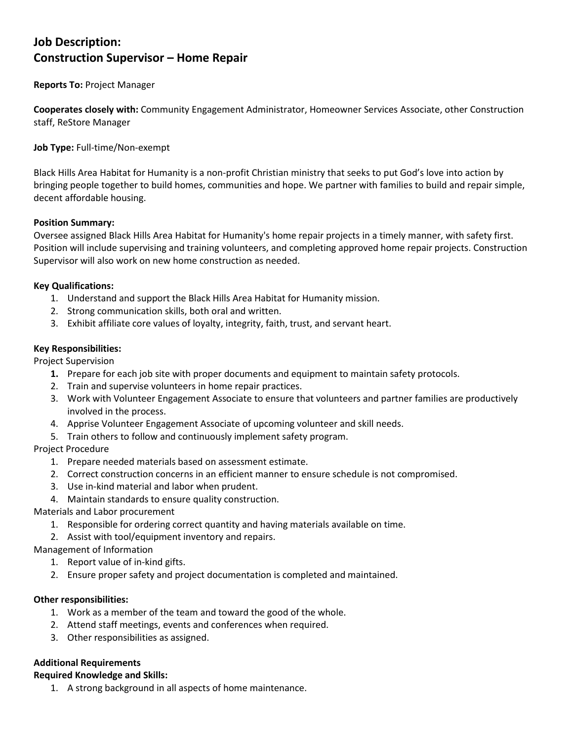# **Job Description: Construction Supervisor – Home Repair**

## **Reports To:** Project Manager

**Cooperates closely with:** Community Engagement Administrator, Homeowner Services Associate, other Construction staff, ReStore Manager

**Job Type:** Full-time/Non-exempt

Black Hills Area Habitat for Humanity is a non-profit Christian ministry that seeks to put God's love into action by bringing people together to build homes, communities and hope. We partner with families to build and repair simple, decent affordable housing.

## **Position Summary:**

Oversee assigned Black Hills Area Habitat for Humanity's home repair projects in a timely manner, with safety first. Position will include supervising and training volunteers, and completing approved home repair projects. Construction Supervisor will also work on new home construction as needed.

## **Key Qualifications:**

- 1. Understand and support the Black Hills Area Habitat for Humanity mission.
- 2. Strong communication skills, both oral and written.
- 3. Exhibit affiliate core values of loyalty, integrity, faith, trust, and servant heart.

## **Key Responsibilities:**

Project Supervision

- **1.** Prepare for each job site with proper documents and equipment to maintain safety protocols.
- 2. Train and supervise volunteers in home repair practices.
- 3. Work with Volunteer Engagement Associate to ensure that volunteers and partner families are productively involved in the process.
- 4. Apprise Volunteer Engagement Associate of upcoming volunteer and skill needs.
- 5. Train others to follow and continuously implement safety program.

#### Project Procedure

- 1. Prepare needed materials based on assessment estimate.
- 2. Correct construction concerns in an efficient manner to ensure schedule is not compromised.
- 3. Use in-kind material and labor when prudent.
- 4. Maintain standards to ensure quality construction.
- Materials and Labor procurement
	- 1. Responsible for ordering correct quantity and having materials available on time.
	- 2. Assist with tool/equipment inventory and repairs.

Management of Information

- 1. Report value of in-kind gifts.
- 2. Ensure proper safety and project documentation is completed and maintained.

#### **Other responsibilities:**

- 1. Work as a member of the team and toward the good of the whole.
- 2. Attend staff meetings, events and conferences when required.
- 3. Other responsibilities as assigned.

## **Additional Requirements**

#### **Required Knowledge and Skills:**

1. A strong background in all aspects of home maintenance.